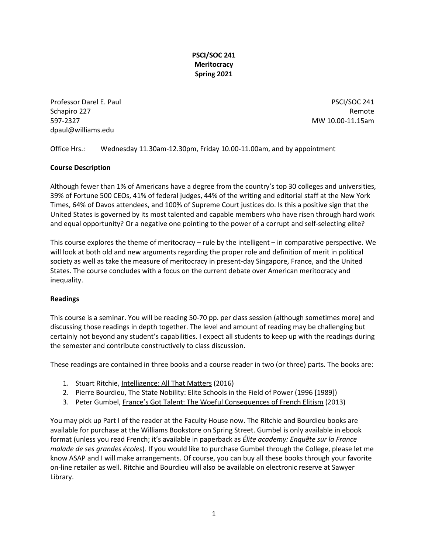# **PSCI/SOC 241 Meritocracy Spring 2021**

Professor Darel E. Paul Professor Darel E. Paul PSCI/SOC 241 Schapiro 227 **Remote** 597-2327 MW 10.00-11.15am dpaul@williams.edu

Office Hrs.: Wednesday 11.30am-12.30pm, Friday 10.00-11.00am, and by appointment

# **Course Description**

Although fewer than 1% of Americans have a degree from the country's top 30 colleges and universities, 39% of Fortune 500 CEOs, 41% of federal judges, 44% of the writing and editorial staff at the New York Times, 64% of Davos attendees, and 100% of Supreme Court justices do. Is this a positive sign that the United States is governed by its most talented and capable members who have risen through hard work and equal opportunity? Or a negative one pointing to the power of a corrupt and self-selecting elite?

This course explores the theme of meritocracy – rule by the intelligent – in comparative perspective. We will look at both old and new arguments regarding the proper role and definition of merit in political society as well as take the measure of meritocracy in present-day Singapore, France, and the United States. The course concludes with a focus on the current debate over American meritocracy and inequality.

### **Readings**

This course is a seminar. You will be reading 50-70 pp. per class session (although sometimes more) and discussing those readings in depth together. The level and amount of reading may be challenging but certainly not beyond any student's capabilities. I expect all students to keep up with the readings during the semester and contribute constructively to class discussion.

These readings are contained in three books and a course reader in two (or three) parts. The books are:

- 1. Stuart Ritchie, Intelligence: All That Matters (2016)
- 2. Pierre Bourdieu, The State Nobility: Elite Schools in the Field of Power (1996 [1989])
- 3. Peter Gumbel, France's Got Talent: The Woeful Consequences of French Elitism (2013)

You may pick up Part I of the reader at the Faculty House now. The Ritchie and Bourdieu books are available for purchase at the Williams Bookstore on Spring Street. Gumbel is only available in ebook format (unless you read French; it's available in paperback as *Élite academy: Enquête sur la France malade de ses grandes écoles*). If you would like to purchase Gumbel through the College, please let me know ASAP and I will make arrangements. Of course, you can buy all these books through your favorite on-line retailer as well. Ritchie and Bourdieu will also be available on electronic reserve at Sawyer Library.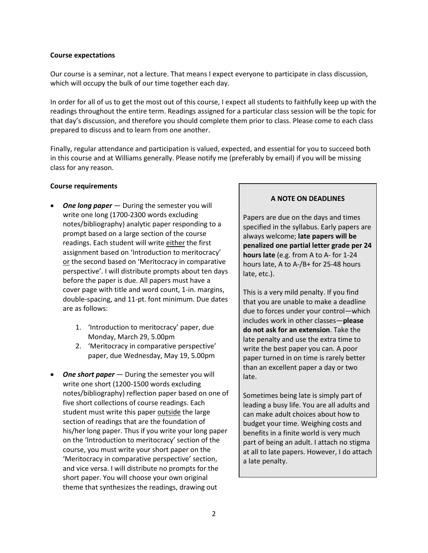### **Course expectations**

Our course is a seminar, not a lecture. That means I expect everyone to participate in class discussion, which will occupy the bulk of our time together each day.

In order for all of us to get the most out of this course, I expect all students to faithfully keep up with the readings throughout the entire term. Readings assigned for a particular class session will be the topic for that day's discussion, and therefore you should complete them prior to class. Please come to each class prepared to discuss and to learn from one another.

Finally, regular attendance and participation is valued, expected, and essential for you to succeed both in this course and at Williams generally. Please notify me (preferably by email) if you will be missing class for any reason.

### **Course requirements**

- *One long paper* During the semester you will write one long (1700-2300 words excluding notes/bibliography) analytic paper responding to a prompt based on a large section of the course readings. Each student will write either the first assignment based on 'Introduction to meritocracy' or the second based on 'Meritocracy in comparative perspective'. I will distribute prompts about ten days before the paper is due. All papers must have a cover page with title and word count, 1-in. margins, double-spacing, and 11-pt. font minimum. Due dates are as follows:
	- 1. 'Introduction to meritocracy' paper, due Monday, March 29, 5.00pm
	- 2. 'Meritocracy in comparative perspective' paper, due Wednesday, May 19, 5.00pm
- *One short paper* During the semester you will write one short (1200-1500 words excluding notes/bibliography) reflection paper based on one of five short collections of course readings. Each student must write this paper outside the large section of readings that are the foundation of his/her long paper. Thus if you write your long paper on the 'Introduction to meritocracy' section of the course, you must write your short paper on the 'Meritocracy in comparative perspective' section, and vice versa. I will distribute no prompts for the short paper. You will choose your own original theme that synthesizes the readings, drawing out

### **A NOTE ON DEADLINES**

Papers are due on the days and times specified in the syllabus. Early papers are always welcome; **late papers will be penalized one partial letter grade per 24 hours late** (e.g. from A to A- for 1-24 hours late, A to A-/B+ for 25-48 hours late, etc.).

This is a very mild penalty. If you find that you are unable to make a deadline due to forces under your control—which includes work in other classes—**please do not ask for an extension**. Take the late penalty and use the extra time to write the best paper you can. A poor paper turned in on time is rarely better than an excellent paper a day or two late.

Sometimes being late is simply part of leading a busy life. You are all adults and can make adult choices about how to budget your time. Weighing costs and benefits in a finite world is very much part of being an adult. I attach no stigma at all to late papers. However, I do attach a late penalty.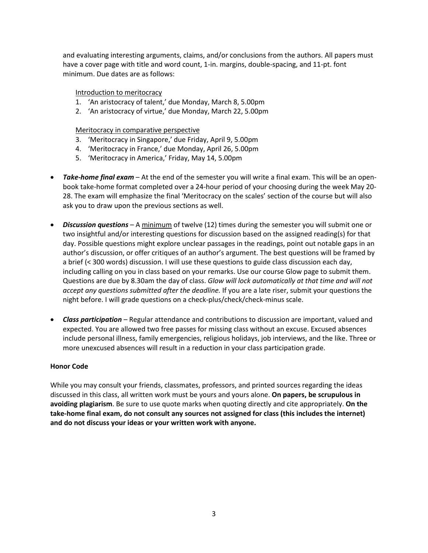and evaluating interesting arguments, claims, and/or conclusions from the authors. All papers must have a cover page with title and word count, 1-in. margins, double-spacing, and 11-pt. font minimum. Due dates are as follows:

### Introduction to meritocracy

- 1. 'An aristocracy of talent,' due Monday, March 8, 5.00pm
- 2. 'An aristocracy of virtue,' due Monday, March 22, 5.00pm

### Meritocracy in comparative perspective

- 3. 'Meritocracy in Singapore,' due Friday, April 9, 5.00pm
- 4. 'Meritocracy in France,' due Monday, April 26, 5.00pm
- 5. 'Meritocracy in America,' Friday, May 14, 5.00pm
- *Take-home final exam* At the end of the semester you will write a final exam. This will be an openbook take-home format completed over a 24-hour period of your choosing during the week May 20- 28. The exam will emphasize the final 'Meritocracy on the scales' section of the course but will also ask you to draw upon the previous sections as well.
- *Discussion questions* A minimum of twelve (12) times during the semester you will submit one or two insightful and/or interesting questions for discussion based on the assigned reading(s) for that day. Possible questions might explore unclear passages in the readings, point out notable gaps in an author's discussion, or offer critiques of an author's argument. The best questions will be framed by a brief (< 300 words) discussion. I will use these questions to guide class discussion each day, including calling on you in class based on your remarks. Use our course Glow page to submit them. Questions are due by 8.30am the day of class. *Glow will lock automatically at that time and will not accept any questions submitted after the deadline.* If you are a late riser, submit your questions the night before. I will grade questions on a check-plus/check/check-minus scale.
- *Class participation* Regular attendance and contributions to discussion are important, valued and expected. You are allowed two free passes for missing class without an excuse. Excused absences include personal illness, family emergencies, religious holidays, job interviews, and the like. Three or more unexcused absences will result in a reduction in your class participation grade.

### **Honor Code**

While you may consult your friends, classmates, professors, and printed sources regarding the ideas discussed in this class, all written work must be yours and yours alone. **On papers, be scrupulous in avoiding plagiarism**. Be sure to use quote marks when quoting directly and cite appropriately. **On the take-home final exam, do not consult any sources not assigned for class (this includes the internet) and do not discuss your ideas or your written work with anyone.**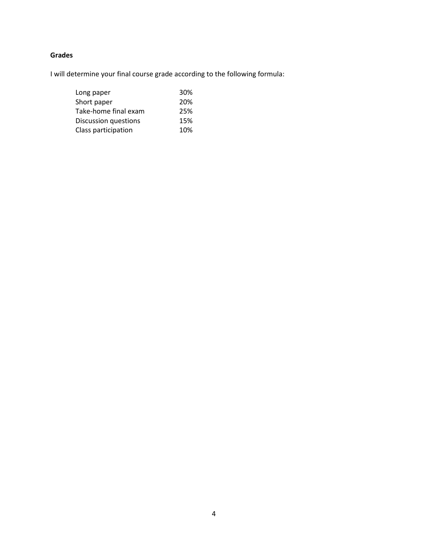# **Grades**

I will determine your final course grade according to the following formula:

| Long paper           | <b>30%</b> |
|----------------------|------------|
| Short paper          | 20%        |
| Take-home final exam | 25%        |
| Discussion questions | 15%        |
| Class participation  | 10%        |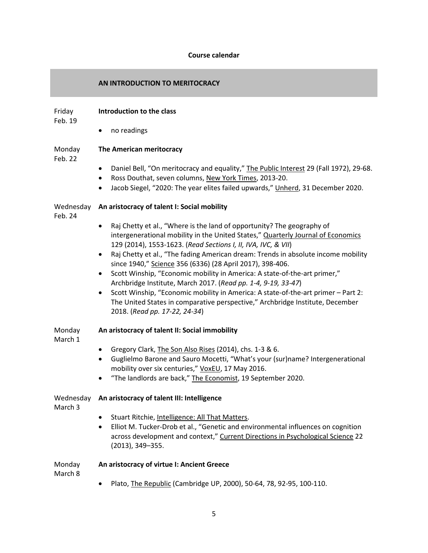### **Course calendar**

### **AN INTRODUCTION TO MERITOCRACY**

#### Friday **Introduction to the class**

Feb. 19

• no readings

#### Monday **The American meritocracy**

Feb. 22

- Daniel Bell, "On meritocracy and equality," The Public Interest 29 (Fall 1972), 29-68.
- Ross Douthat, seven columns, New York Times, 2013-20.
- Jacob Siegel, "2020: The year elites failed upwards," Unherd, 31 December 2020.

### Wednesday **An aristocracy of talent I: Social mobility**

- Feb. 24
- Raj Chetty et al., "Where is the land of opportunity? The geography of intergenerational mobility in the United States," Quarterly Journal of Economics 129 (2014), 1553-1623. (*Read Sections I, II, IVA, IVC, & VII*)
- Raj Chetty et al., "The fading American dream: Trends in absolute income mobility since 1940," Science 356 (6336) (28 April 2017), 398-406.
- Scott Winship, "Economic mobility in America: A state-of-the-art primer," Archbridge Institute, March 2017. (*Read pp. 1-4, 9-19, 33-47*)
- Scott Winship, "Economic mobility in America: A state-of-the-art primer Part 2: The United States in comparative perspective," Archbridge Institute, December 2018. (*Read pp. 17-22, 24-34*)

#### Monday **An aristocracy of talent II: Social immobility**

March 1

- Gregory Clark, The Son Also Rises (2014), chs. 1-3 & 6.
- Guglielmo Barone and Sauro Mocetti, "What's your (sur)name? Intergenerational mobility over six centuries," VoxEU, 17 May 2016.
- "The landlords are back," The Economist, 19 September 2020.

### Wednesday **An aristocracy of talent III: Intelligence**

March 3

- Stuart Ritchie, Intelligence: All That Matters.
- Elliot M. Tucker-Drob et al., "Genetic and environmental influences on cognition across development and context," Current Directions in Psychological Science 22 (2013), 349–355.

Monday

**An aristocracy of virtue I: Ancient Greece**

March 8

• Plato, The Republic (Cambridge UP, 2000), 50-64, 78, 92-95, 100-110.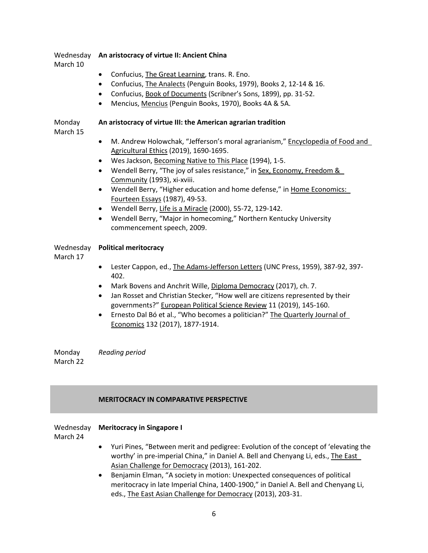# Wednesday **An aristocracy of virtue II: Ancient China**

March 10

- Confucius, The Great Learning, trans. R. Eno.
- Confucius, The Analects (Penguin Books, 1979), Books 2, 12-14 & 16.
- Confucius, Book of Documents (Scribner's Sons, 1899), pp. 31-52.
- Mencius, Mencius (Penguin Books, 1970), Books 4A & 5A.

#### Monday **An aristocracy of virtue III: the American agrarian tradition**

March 15

- M. Andrew Holowchak, "Jefferson's moral agrarianism," Encyclopedia of Food and Agricultural Ethics (2019), 1690-1695.
- Wes Jackson, Becoming Native to This Place (1994), 1-5.
- Wendell Berry, "The joy of sales resistance," in Sex, Economy, Freedom & Community (1993), xi-xviii.
- Wendell Berry, "Higher education and home defense," in Home Economics: Fourteen Essays (1987), 49-53.
- Wendell Berry, Life is a Miracle (2000), 55-72, 129-142.
- Wendell Berry, "Major in homecoming," Northern Kentucky University commencement speech, 2009.

### Wednesday **Political meritocracy**

March 17

- Lester Cappon, ed., The Adams-Jefferson Letters (UNC Press, 1959), 387-92, 397- 402.
- Mark Bovens and Anchrit Wille, Diploma Democracy (2017), ch. 7.
- Jan Rosset and Christian Stecker, "How well are citizens represented by their governments?" European Political Science Review 11 (2019), 145-160.
- Ernesto Dal Bó et al., "Who becomes a politician?" The Quarterly Journal of Economics 132 (2017), 1877-1914.

Monday March 22 *Reading period*

# **MERITOCRACY IN COMPARATIVE PERSPECTIVE**

# Wednesday **Meritocracy in Singapore I**

March 24

- Yuri Pines, "Between merit and pedigree: Evolution of the concept of 'elevating the worthy' in pre-imperial China," in Daniel A. Bell and Chenyang Li, eds., The East Asian Challenge for Democracy (2013), 161-202.
- Benjamin Elman, "A society in motion: Unexpected consequences of political meritocracy in late Imperial China, 1400-1900," in Daniel A. Bell and Chenyang Li, eds., The East Asian Challenge for Democracy (2013), 203-31.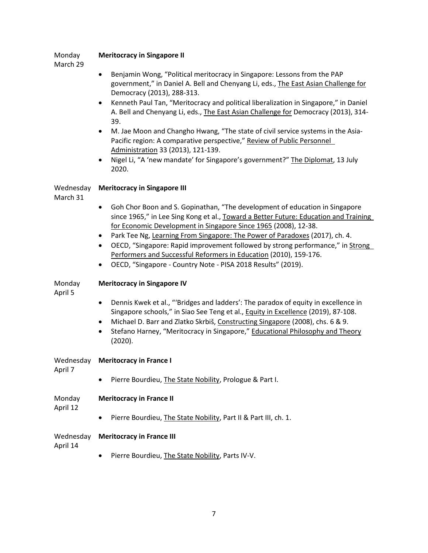| March 29              |                                                                                                                                                                                                                                                                                                                                                                                                                                                                                                             |
|-----------------------|-------------------------------------------------------------------------------------------------------------------------------------------------------------------------------------------------------------------------------------------------------------------------------------------------------------------------------------------------------------------------------------------------------------------------------------------------------------------------------------------------------------|
|                       | Benjamin Wong, "Political meritocracy in Singapore: Lessons from the PAP<br>government," in Daniel A. Bell and Chenyang Li, eds., The East Asian Challenge for<br>Democracy (2013), 288-313.                                                                                                                                                                                                                                                                                                                |
|                       | Kenneth Paul Tan, "Meritocracy and political liberalization in Singapore," in Daniel<br>$\bullet$<br>A. Bell and Chenyang Li, eds., The East Asian Challenge for Democracy (2013), 314-<br>39.                                                                                                                                                                                                                                                                                                              |
|                       | M. Jae Moon and Changho Hwang, "The state of civil service systems in the Asia-<br>$\bullet$<br>Pacific region: A comparative perspective," Review of Public Personnel<br>Administration 33 (2013), 121-139.                                                                                                                                                                                                                                                                                                |
|                       | Nigel Li, "A 'new mandate' for Singapore's government?" The Diplomat, 13 July<br>$\bullet$<br>2020.                                                                                                                                                                                                                                                                                                                                                                                                         |
| Wednesday<br>March 31 | <b>Meritocracy in Singapore III</b>                                                                                                                                                                                                                                                                                                                                                                                                                                                                         |
|                       | Goh Chor Boon and S. Gopinathan, "The development of education in Singapore<br>٠<br>since 1965," in Lee Sing Kong et al., Toward a Better Future: Education and Training<br>for Economic Development in Singapore Since 1965 (2008), 12-38.<br>Park Tee Ng, Learning From Singapore: The Power of Paradoxes (2017), ch. 4.<br>$\bullet$<br>OECD, "Singapore: Rapid improvement followed by strong performance," in Strong<br>$\bullet$<br>Performers and Successful Reformers in Education (2010), 159-176. |
| Monday                | OECD, "Singapore - Country Note - PISA 2018 Results" (2019).<br><b>Meritocracy in Singapore IV</b>                                                                                                                                                                                                                                                                                                                                                                                                          |
| April 5               |                                                                                                                                                                                                                                                                                                                                                                                                                                                                                                             |
|                       | Dennis Kwek et al., "'Bridges and ladders': The paradox of equity in excellence in<br>$\bullet$<br>Singapore schools," in Siao See Teng et al., Equity in Excellence (2019), 87-108.<br>Michael D. Barr and Zlatko Skrbiš, Constructing Singapore (2008), chs. 6 & 9.<br>٠<br>Stefano Harney, "Meritocracy in Singapore," Educational Philosophy and Theory<br>(2020).                                                                                                                                      |
| Wednesday<br>April 7  | <b>Meritocracy in France I</b>                                                                                                                                                                                                                                                                                                                                                                                                                                                                              |
|                       | Pierre Bourdieu, The State Nobility, Prologue & Part I.                                                                                                                                                                                                                                                                                                                                                                                                                                                     |
| Monday<br>April 12    | <b>Meritocracy in France II</b>                                                                                                                                                                                                                                                                                                                                                                                                                                                                             |
|                       | Pierre Bourdieu, The State Nobility, Part II & Part III, ch. 1.                                                                                                                                                                                                                                                                                                                                                                                                                                             |
| Wednesday<br>April 14 | <b>Meritocracy in France III</b>                                                                                                                                                                                                                                                                                                                                                                                                                                                                            |
|                       | Pierre Bourdieu, The State Nobility, Parts IV-V.                                                                                                                                                                                                                                                                                                                                                                                                                                                            |

Monday

**Meritocracy in Singapore II**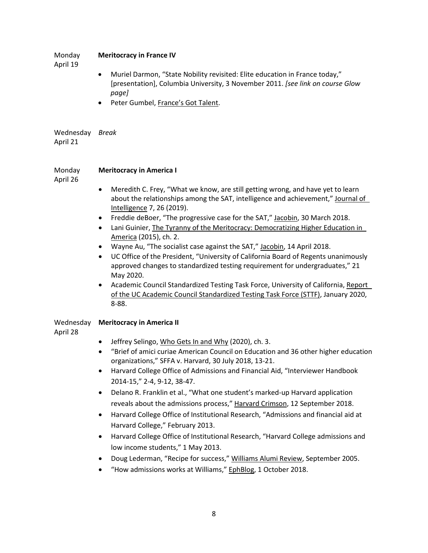### Monday April 19 **Meritocracy in France IV** • Muriel Darmon, "State Nobility revisited: Elite education in France today," [presentation], Columbia University, 3 November 2011. *[see link on course Glow page]* • Peter Gumbel, France's Got Talent.

# Wednesday *Break* April 21

#### Monday **Meritocracy in America I**

April 26

- Meredith C. Frey, "What we know, are still getting wrong, and have yet to learn about the relationships among the SAT, intelligence and achievement," Journal of Intelligence 7, 26 (2019).
- Freddie deBoer, "The progressive case for the SAT," Jacobin, 30 March 2018.
- Lani Guinier, The Tyranny of the Meritocracy: Democratizing Higher Education in America (2015), ch. 2.
- Wayne Au, "The socialist case against the SAT," Jacobin, 14 April 2018.
- UC Office of the President, "University of California Board of Regents unanimously approved changes to standardized testing requirement for undergraduates," 21 May 2020.
- Academic Council Standardized Testing Task Force, University of California, Report of the UC Academic Council Standardized Testing Task Force (STTF), January 2020, 8-88.

# Wednesday **Meritocracy in America II**

April 28

- Jeffrey Selingo, Who Gets In and Why (2020), ch. 3.
- "Brief of amici curiae American Council on Education and 36 other higher education organizations," SFFA v. Harvard, 30 July 2018, 13-21.
- Harvard College Office of Admissions and Financial Aid, "Interviewer Handbook 2014-15," 2-4, 9-12, 38-47.
- Delano R. Franklin et al., "What one student's marked-up Harvard application reveals about the admissions process," Harvard Crimson, 12 September 2018.
- Harvard College Office of Institutional Research, "Admissions and financial aid at Harvard College," February 2013.
- Harvard College Office of Institutional Research, "Harvard College admissions and low income students," 1 May 2013.
- Doug Lederman, "Recipe for success," Williams Alumi Review, September 2005.
- "How admissions works at Williams," EphBlog, 1 October 2018.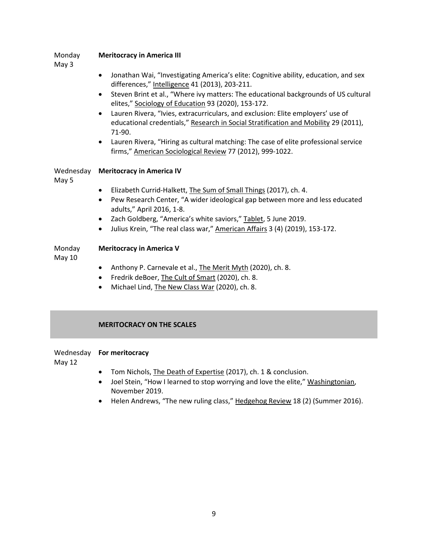#### Monday **Meritocracy in America III**

May 3

- Jonathan Wai, "Investigating America's elite: Cognitive ability, education, and sex differences," Intelligence 41 (2013), 203-211.
- Steven Brint et al., "Where ivy matters: The educational backgrounds of US cultural elites," Sociology of Education 93 (2020), 153-172.
- Lauren Rivera, "Ivies, extracurriculars, and exclusion: Elite employers' use of educational credentials," Research in Social Stratification and Mobility 29 (2011), 71-90.
- Lauren Rivera, "Hiring as cultural matching: The case of elite professional service firms," American Sociological Review 77 (2012), 999-1022.

# Wednesday **Meritocracy in America IV**

May 5

- Elizabeth Currid-Halkett, The Sum of Small Things (2017), ch. 4.
- Pew Research Center, "A wider ideological gap between more and less educated adults," April 2016, 1-8.
- Zach Goldberg, "America's white saviors," Tablet, 5 June 2019.
- Julius Krein, "The real class war," American Affairs 3 (4) (2019), 153-172.

#### Monday **Meritocracy in America V**

May 10

- Anthony P. Carnevale et al., The Merit Myth (2020), ch. 8.
- Fredrik deBoer, The Cult of Smart (2020), ch. 8.
- Michael Lind, The New Class War (2020), ch. 8.

### **MERITOCRACY ON THE SCALES**

# Wednesday **For meritocracy**

May 12

- Tom Nichols, The Death of Expertise (2017), ch. 1 & conclusion.
- Joel Stein, "How I learned to stop worrying and love the elite," Washingtonian, November 2019.
- Helen Andrews, "The new ruling class," Hedgehog Review 18 (2) (Summer 2016).